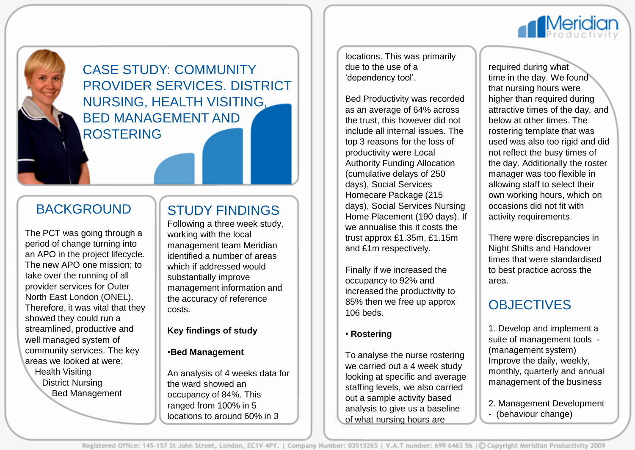

CASE STUDY: COMMUNITY PROVIDER SERVICES. DISTRICT NURSING, HEALTH VISITING, BED MANAGEMENT AND ROSTERING

### BACKGROUND

The PCT was going through a period of change turning into an APO in the project lifecycle. The new APO one mission; to take over the running of all provider services for Outer North East London (ONEL). Therefore, it was vital that they showed they could run a streamlined, productive and well managed system of community services. The key areas we looked at were: Health Visiting District Nursing Bed Management

## STUDY FINDINGS

Following a three week study, working with the local management team Meridian identified a number of areas which if addressed would substantially improve management information and the accuracy of reference costs.

#### **Key findings of study**

#### •**Bed Management**

An analysis of 4 weeks data for the ward showed an occupancy of 84%. This ranged from 100% in 5 locations to around 60% in 3

locations. This was primarily due to the use of a 'dependency tool'.

Bed Productivity was recorded as an average of 64% across the trust, this however did not include all internal issues. The top 3 reasons for the loss of productivity were Local Authority Funding Allocation (cumulative delays of 250 days), Social Services Homecare Package (215 days), Social Services Nursing Home Placement (190 days). If we annualise this it costs the trust approx £1.35m, £1.15m and £1m respectively.

Finally if we increased the occupancy to 92% and increased the productivity to 85% then we free up approx 106 beds.

### • **Rostering**

To analyse the nurse rostering we carried out a 4 week study looking at specific and average staffing levels, we also carried out a sample activity based analysis to give us a baseline of what nursing hours are

required during what time in the day. We found that nursing hours were higher than required during attractive times of the day, and below at other times. The rostering template that was used was also too rigid and did not reflect the busy times of the day. Additionally the roster manager was too flexible in allowing staff to select their own working hours, which on occasions did not fit with activity requirements.

There were discrepancies in Night Shifts and Handover times that were standardised to best practice across the area.

# **OBJECTIVES**

1. Develop and implement a suite of management tools - (management system) Improve the daily, weekly, monthly, quarterly and annual management of the business

2. Management Development

- (behaviour change)